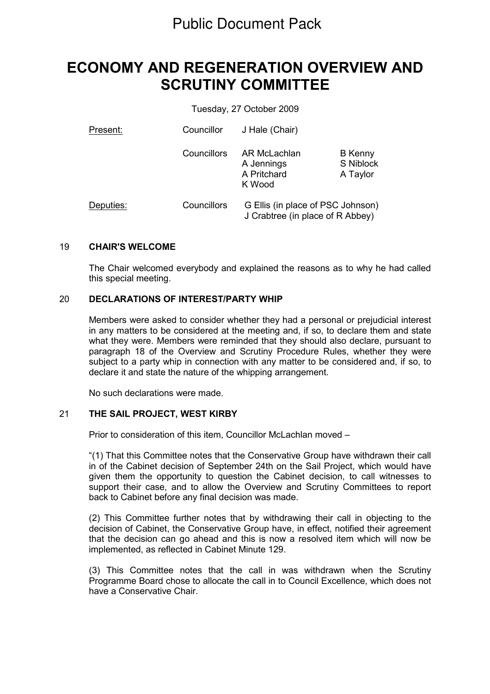# ECONOMY AND REGENERATION OVERVIEW AND SCRUTINY COMMITTEE

Tuesday, 27 October 2009

| Present:  | Councillor  | J Hale (Chair)                                                        |                                         |
|-----------|-------------|-----------------------------------------------------------------------|-----------------------------------------|
|           | Councillors | AR McLachlan<br>A Jennings<br>A Pritchard<br>K Wood                   | <b>B</b> Kenny<br>S Niblock<br>A Taylor |
| Deputies: | Councillors | G Ellis (in place of PSC Johnson)<br>J Crabtree (in place of R Abbey) |                                         |

#### 19 CHAIR'S WELCOME

The Chair welcomed everybody and explained the reasons as to why he had called this special meeting.

### 20 DECLARATIONS OF INTEREST/PARTY WHIP

Members were asked to consider whether they had a personal or prejudicial interest in any matters to be considered at the meeting and, if so, to declare them and state what they were. Members were reminded that they should also declare, pursuant to paragraph 18 of the Overview and Scrutiny Procedure Rules, whether they were subject to a party whip in connection with any matter to be considered and, if so, to declare it and state the nature of the whipping arrangement.

No such declarations were made.

## 21 THE SAIL PROJECT, WEST KIRBY

Prior to consideration of this item, Councillor McLachlan moved –

"(1) That this Committee notes that the Conservative Group have withdrawn their call in of the Cabinet decision of September 24th on the Sail Project, which would have given them the opportunity to question the Cabinet decision, to call witnesses to support their case, and to allow the Overview and Scrutiny Committees to report back to Cabinet before any final decision was made.

(2) This Committee further notes that by withdrawing their call in objecting to the decision of Cabinet, the Conservative Group have, in effect, notified their agreement that the decision can go ahead and this is now a resolved item which will now be implemented, as reflected in Cabinet Minute 129.

(3) This Committee notes that the call in was withdrawn when the Scrutiny Programme Board chose to allocate the call in to Council Excellence, which does not have a Conservative Chair.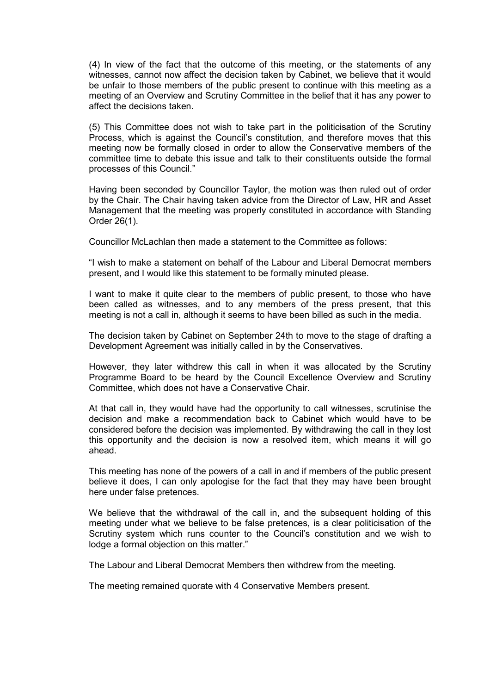(4) In view of the fact that the outcome of this meeting, or the statements of any witnesses, cannot now affect the decision taken by Cabinet, we believe that it would be unfair to those members of the public present to continue with this meeting as a meeting of an Overview and Scrutiny Committee in the belief that it has any power to affect the decisions taken.

(5) This Committee does not wish to take part in the politicisation of the Scrutiny Process, which is against the Council's constitution, and therefore moves that this meeting now be formally closed in order to allow the Conservative members of the committee time to debate this issue and talk to their constituents outside the formal processes of this Council."

Having been seconded by Councillor Taylor, the motion was then ruled out of order by the Chair. The Chair having taken advice from the Director of Law, HR and Asset Management that the meeting was properly constituted in accordance with Standing Order 26(1).

Councillor McLachlan then made a statement to the Committee as follows:

"I wish to make a statement on behalf of the Labour and Liberal Democrat members present, and I would like this statement to be formally minuted please.

I want to make it quite clear to the members of public present, to those who have been called as witnesses, and to any members of the press present, that this meeting is not a call in, although it seems to have been billed as such in the media.

The decision taken by Cabinet on September 24th to move to the stage of drafting a Development Agreement was initially called in by the Conservatives.

However, they later withdrew this call in when it was allocated by the Scrutiny Programme Board to be heard by the Council Excellence Overview and Scrutiny Committee, which does not have a Conservative Chair.

At that call in, they would have had the opportunity to call witnesses, scrutinise the decision and make a recommendation back to Cabinet which would have to be considered before the decision was implemented. By withdrawing the call in they lost this opportunity and the decision is now a resolved item, which means it will go ahead.

This meeting has none of the powers of a call in and if members of the public present believe it does, I can only apologise for the fact that they may have been brought here under false pretences.

We believe that the withdrawal of the call in, and the subsequent holding of this meeting under what we believe to be false pretences, is a clear politicisation of the Scrutiny system which runs counter to the Council's constitution and we wish to lodge a formal objection on this matter."

The Labour and Liberal Democrat Members then withdrew from the meeting.

The meeting remained quorate with 4 Conservative Members present.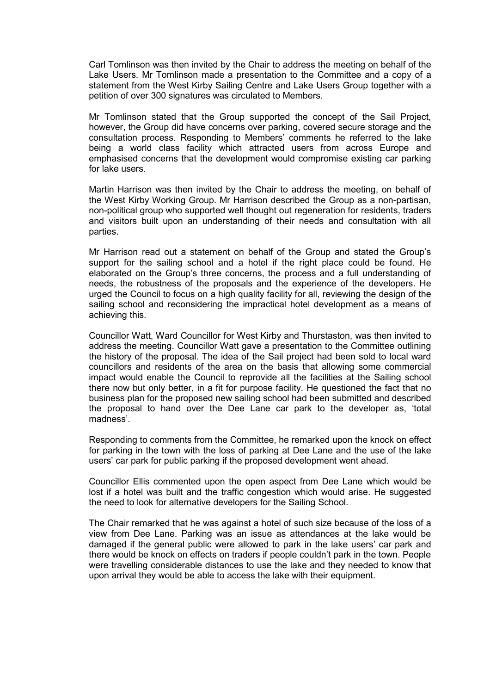Carl Tomlinson was then invited by the Chair to address the meeting on behalf of the Lake Users. Mr Tomlinson made a presentation to the Committee and a copy of a statement from the West Kirby Sailing Centre and Lake Users Group together with a petition of over 300 signatures was circulated to Members.

Mr Tomlinson stated that the Group supported the concept of the Sail Project, however, the Group did have concerns over parking, covered secure storage and the consultation process. Responding to Members' comments he referred to the lake being a world class facility which attracted users from across Europe and emphasised concerns that the development would compromise existing car parking for lake users.

Martin Harrison was then invited by the Chair to address the meeting, on behalf of the West Kirby Working Group. Mr Harrison described the Group as a non-partisan, non-political group who supported well thought out regeneration for residents, traders and visitors built upon an understanding of their needs and consultation with all parties.

Mr Harrison read out a statement on behalf of the Group and stated the Group's support for the sailing school and a hotel if the right place could be found. He elaborated on the Group's three concerns, the process and a full understanding of needs, the robustness of the proposals and the experience of the developers. He urged the Council to focus on a high quality facility for all, reviewing the design of the sailing school and reconsidering the impractical hotel development as a means of achieving this.

Councillor Watt, Ward Councillor for West Kirby and Thurstaston, was then invited to address the meeting. Councillor Watt gave a presentation to the Committee outlining the history of the proposal. The idea of the Sail project had been sold to local ward councillors and residents of the area on the basis that allowing some commercial impact would enable the Council to reprovide all the facilities at the Sailing school there now but only better, in a fit for purpose facility. He questioned the fact that no business plan for the proposed new sailing school had been submitted and described the proposal to hand over the Dee Lane car park to the developer as, 'total madness'.

Responding to comments from the Committee, he remarked upon the knock on effect for parking in the town with the loss of parking at Dee Lane and the use of the lake users' car park for public parking if the proposed development went ahead.

Councillor Ellis commented upon the open aspect from Dee Lane which would be lost if a hotel was built and the traffic congestion which would arise. He suggested the need to look for alternative developers for the Sailing School.

The Chair remarked that he was against a hotel of such size because of the loss of a view from Dee Lane. Parking was an issue as attendances at the lake would be damaged if the general public were allowed to park in the lake users' car park and there would be knock on effects on traders if people couldn't park in the town. People were travelling considerable distances to use the lake and they needed to know that upon arrival they would be able to access the lake with their equipment.